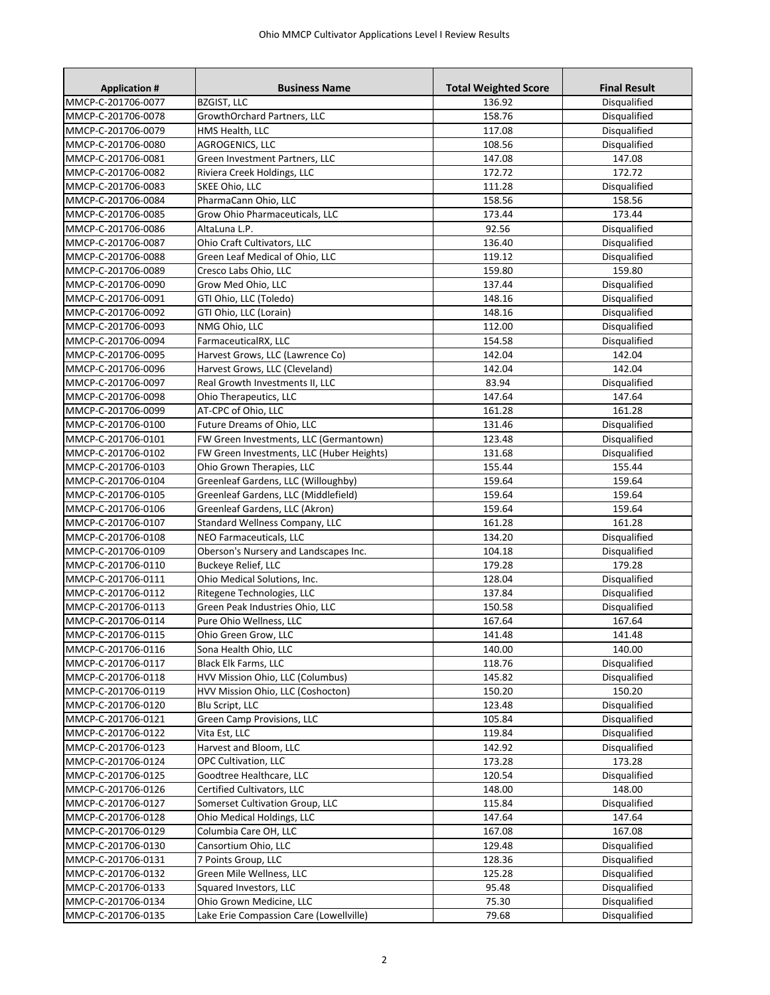| MMCP-C-201706-0077<br>Disqualified<br><b>BZGIST, LLC</b><br>136.92<br>Disqualified<br>MMCP-C-201706-0078<br>GrowthOrchard Partners, LLC<br>158.76<br>Disqualified<br>MMCP-C-201706-0079<br>HMS Health, LLC<br>117.08<br>Disqualified<br>MMCP-C-201706-0080<br>AGROGENICS, LLC<br>108.56<br>147.08<br>MMCP-C-201706-0081<br>Green Investment Partners, LLC<br>147.08<br>MMCP-C-201706-0082<br>Riviera Creek Holdings, LLC<br>172.72<br>172.72<br>MMCP-C-201706-0083<br>SKEE Ohio, LLC<br>Disqualified<br>111.28<br>PharmaCann Ohio, LLC<br>158.56<br>MMCP-C-201706-0084<br>158.56<br>173.44<br>MMCP-C-201706-0085<br>Grow Ohio Pharmaceuticals, LLC<br>173.44<br>92.56<br>MMCP-C-201706-0086<br>AltaLuna L.P.<br>Disqualified<br>Disqualified<br>MMCP-C-201706-0087<br>Ohio Craft Cultivators, LLC<br>136.40<br>119.12<br>MMCP-C-201706-0088<br>Green Leaf Medical of Ohio, LLC<br>Disqualified<br>159.80<br>MMCP-C-201706-0089<br>Cresco Labs Ohio, LLC<br>159.80<br>MMCP-C-201706-0090<br>Grow Med Ohio, LLC<br>137.44<br>Disqualified<br>MMCP-C-201706-0091<br>GTI Ohio, LLC (Toledo)<br>Disqualified<br>148.16<br>Disqualified<br>GTI Ohio, LLC (Lorain)<br>148.16<br>MMCP-C-201706-0092<br>Disqualified<br>NMG Ohio, LLC<br>112.00<br>MMCP-C-201706-0093<br>Disqualified<br>MMCP-C-201706-0094<br>FarmaceuticalRX, LLC<br>154.58<br>142.04<br>MMCP-C-201706-0095<br>Harvest Grows, LLC (Lawrence Co)<br>142.04<br>142.04<br>MMCP-C-201706-0096<br>Harvest Grows, LLC (Cleveland)<br>142.04<br>MMCP-C-201706-0097<br>Real Growth Investments II, LLC<br>83.94<br>Disqualified<br>MMCP-C-201706-0098<br>Ohio Therapeutics, LLC<br>147.64<br>147.64<br>MMCP-C-201706-0099<br>AT-CPC of Ohio, LLC<br>161.28<br>161.28<br>Future Dreams of Ohio, LLC<br>Disqualified<br>MMCP-C-201706-0100<br>131.46<br>MMCP-C-201706-0101<br>FW Green Investments, LLC (Germantown)<br>123.48<br>Disqualified<br>MMCP-C-201706-0102<br>FW Green Investments, LLC (Huber Heights)<br>131.68<br>Disqualified<br>Ohio Grown Therapies, LLC<br>155.44<br>MMCP-C-201706-0103<br>155.44<br>MMCP-C-201706-0104<br>159.64<br>159.64<br>Greenleaf Gardens, LLC (Willoughby)<br>MMCP-C-201706-0105<br>Greenleaf Gardens, LLC (Middlefield)<br>159.64<br>159.64<br>MMCP-C-201706-0106<br>Greenleaf Gardens, LLC (Akron)<br>159.64<br>159.64<br>Standard Wellness Company, LLC<br>161.28<br>MMCP-C-201706-0107<br>161.28<br>MMCP-C-201706-0108<br>NEO Farmaceuticals, LLC<br>134.20<br>Disqualified<br>MMCP-C-201706-0109<br>Oberson's Nursery and Landscapes Inc.<br>104.18<br>Disqualified<br>179.28<br>MMCP-C-201706-0110<br>Buckeye Relief, LLC<br>179.28<br>Disqualified<br>MMCP-C-201706-0111<br>Ohio Medical Solutions, Inc.<br>128.04<br>Disqualified<br>MMCP-C-201706-0112<br>Ritegene Technologies, LLC<br>137.84<br>MMCP-C-201706-0113<br>Green Peak Industries Ohio, LLC<br>150.58<br>Disqualified<br>Pure Ohio Wellness, LLC<br>167.64<br>167.64<br>MMCP-C-201706-0114<br>141.48<br>141.48<br>MMCP-C-201706-0115<br>Ohio Green Grow, LLC<br>MMCP-C-201706-0116<br>Sona Health Ohio, LLC<br>140.00<br>140.00<br>MMCP-C-201706-0117<br><b>Black Elk Farms, LLC</b><br>118.76<br><b>Disqualified</b><br>HVV Mission Ohio, LLC (Columbus)<br>MMCP-C-201706-0118<br>145.82<br>Disqualified<br>MMCP-C-201706-0119<br>HVV Mission Ohio, LLC (Coshocton)<br>150.20<br>150.20<br>Disqualified<br>MMCP-C-201706-0120<br>Blu Script, LLC<br>123.48<br>Green Camp Provisions, LLC<br>Disqualified<br>MMCP-C-201706-0121<br>105.84<br>Disqualified<br>MMCP-C-201706-0122<br>Vita Est, LLC<br>119.84<br>MMCP-C-201706-0123<br>Harvest and Bloom, LLC<br>Disqualified<br>142.92<br>OPC Cultivation, LLC<br>MMCP-C-201706-0124<br>173.28<br>173.28<br>Disqualified<br>MMCP-C-201706-0125<br>Goodtree Healthcare, LLC<br>120.54<br>MMCP-C-201706-0126<br>Certified Cultivators, LLC<br>148.00<br>148.00<br>MMCP-C-201706-0127<br>Somerset Cultivation Group, LLC<br>Disqualified<br>115.84<br>MMCP-C-201706-0128<br>Ohio Medical Holdings, LLC<br>147.64<br>147.64<br>167.08<br>MMCP-C-201706-0129<br>Columbia Care OH, LLC<br>167.08<br>MMCP-C-201706-0130<br>Cansortium Ohio, LLC<br>129.48<br>Disqualified<br>7 Points Group, LLC<br>MMCP-C-201706-0131<br>128.36<br>Disqualified<br>Green Mile Wellness, LLC<br>MMCP-C-201706-0132<br>125.28<br>Disqualified<br>MMCP-C-201706-0133<br>Squared Investors, LLC<br>95.48<br>Disqualified<br>Ohio Grown Medicine, LLC<br>Disqualified<br>MMCP-C-201706-0134<br>75.30<br>Lake Erie Compassion Care (Lowellville)<br>Disqualified<br>MMCP-C-201706-0135<br>79.68 | <b>Application #</b> | <b>Business Name</b> | <b>Total Weighted Score</b> | <b>Final Result</b> |
|--------------------------------------------------------------------------------------------------------------------------------------------------------------------------------------------------------------------------------------------------------------------------------------------------------------------------------------------------------------------------------------------------------------------------------------------------------------------------------------------------------------------------------------------------------------------------------------------------------------------------------------------------------------------------------------------------------------------------------------------------------------------------------------------------------------------------------------------------------------------------------------------------------------------------------------------------------------------------------------------------------------------------------------------------------------------------------------------------------------------------------------------------------------------------------------------------------------------------------------------------------------------------------------------------------------------------------------------------------------------------------------------------------------------------------------------------------------------------------------------------------------------------------------------------------------------------------------------------------------------------------------------------------------------------------------------------------------------------------------------------------------------------------------------------------------------------------------------------------------------------------------------------------------------------------------------------------------------------------------------------------------------------------------------------------------------------------------------------------------------------------------------------------------------------------------------------------------------------------------------------------------------------------------------------------------------------------------------------------------------------------------------------------------------------------------------------------------------------------------------------------------------------------------------------------------------------------------------------------------------------------------------------------------------------------------------------------------------------------------------------------------------------------------------------------------------------------------------------------------------------------------------------------------------------------------------------------------------------------------------------------------------------------------------------------------------------------------------------------------------------------------------------------------------------------------------------------------------------------------------------------------------------------------------------------------------------------------------------------------------------------------------------------------------------------------------------------------------------------------------------------------------------------------------------------------------------------------------------------------------------------------------------------------------------------------------------------------------------------------------------------------------------------------------------------------------------------------------------------------------------------------------------------------------------------------------------------------------------------------------------------------------------------------------------------------------------------------------------------------------------------------------------------------------------------------------------------------------------------------------------------------------------------------------------------------------------------------------------------------------------------------------------------------------------------------------------------------------------------------------------------------------------------------------------------------------------------|----------------------|----------------------|-----------------------------|---------------------|
|                                                                                                                                                                                                                                                                                                                                                                                                                                                                                                                                                                                                                                                                                                                                                                                                                                                                                                                                                                                                                                                                                                                                                                                                                                                                                                                                                                                                                                                                                                                                                                                                                                                                                                                                                                                                                                                                                                                                                                                                                                                                                                                                                                                                                                                                                                                                                                                                                                                                                                                                                                                                                                                                                                                                                                                                                                                                                                                                                                                                                                                                                                                                                                                                                                                                                                                                                                                                                                                                                                                                                                                                                                                                                                                                                                                                                                                                                                                                                                                                                                                                                                                                                                                                                                                                                                                                                                                                                                                                                                                                                                                |                      |                      |                             |                     |
|                                                                                                                                                                                                                                                                                                                                                                                                                                                                                                                                                                                                                                                                                                                                                                                                                                                                                                                                                                                                                                                                                                                                                                                                                                                                                                                                                                                                                                                                                                                                                                                                                                                                                                                                                                                                                                                                                                                                                                                                                                                                                                                                                                                                                                                                                                                                                                                                                                                                                                                                                                                                                                                                                                                                                                                                                                                                                                                                                                                                                                                                                                                                                                                                                                                                                                                                                                                                                                                                                                                                                                                                                                                                                                                                                                                                                                                                                                                                                                                                                                                                                                                                                                                                                                                                                                                                                                                                                                                                                                                                                                                |                      |                      |                             |                     |
|                                                                                                                                                                                                                                                                                                                                                                                                                                                                                                                                                                                                                                                                                                                                                                                                                                                                                                                                                                                                                                                                                                                                                                                                                                                                                                                                                                                                                                                                                                                                                                                                                                                                                                                                                                                                                                                                                                                                                                                                                                                                                                                                                                                                                                                                                                                                                                                                                                                                                                                                                                                                                                                                                                                                                                                                                                                                                                                                                                                                                                                                                                                                                                                                                                                                                                                                                                                                                                                                                                                                                                                                                                                                                                                                                                                                                                                                                                                                                                                                                                                                                                                                                                                                                                                                                                                                                                                                                                                                                                                                                                                |                      |                      |                             |                     |
|                                                                                                                                                                                                                                                                                                                                                                                                                                                                                                                                                                                                                                                                                                                                                                                                                                                                                                                                                                                                                                                                                                                                                                                                                                                                                                                                                                                                                                                                                                                                                                                                                                                                                                                                                                                                                                                                                                                                                                                                                                                                                                                                                                                                                                                                                                                                                                                                                                                                                                                                                                                                                                                                                                                                                                                                                                                                                                                                                                                                                                                                                                                                                                                                                                                                                                                                                                                                                                                                                                                                                                                                                                                                                                                                                                                                                                                                                                                                                                                                                                                                                                                                                                                                                                                                                                                                                                                                                                                                                                                                                                                |                      |                      |                             |                     |
|                                                                                                                                                                                                                                                                                                                                                                                                                                                                                                                                                                                                                                                                                                                                                                                                                                                                                                                                                                                                                                                                                                                                                                                                                                                                                                                                                                                                                                                                                                                                                                                                                                                                                                                                                                                                                                                                                                                                                                                                                                                                                                                                                                                                                                                                                                                                                                                                                                                                                                                                                                                                                                                                                                                                                                                                                                                                                                                                                                                                                                                                                                                                                                                                                                                                                                                                                                                                                                                                                                                                                                                                                                                                                                                                                                                                                                                                                                                                                                                                                                                                                                                                                                                                                                                                                                                                                                                                                                                                                                                                                                                |                      |                      |                             |                     |
|                                                                                                                                                                                                                                                                                                                                                                                                                                                                                                                                                                                                                                                                                                                                                                                                                                                                                                                                                                                                                                                                                                                                                                                                                                                                                                                                                                                                                                                                                                                                                                                                                                                                                                                                                                                                                                                                                                                                                                                                                                                                                                                                                                                                                                                                                                                                                                                                                                                                                                                                                                                                                                                                                                                                                                                                                                                                                                                                                                                                                                                                                                                                                                                                                                                                                                                                                                                                                                                                                                                                                                                                                                                                                                                                                                                                                                                                                                                                                                                                                                                                                                                                                                                                                                                                                                                                                                                                                                                                                                                                                                                |                      |                      |                             |                     |
|                                                                                                                                                                                                                                                                                                                                                                                                                                                                                                                                                                                                                                                                                                                                                                                                                                                                                                                                                                                                                                                                                                                                                                                                                                                                                                                                                                                                                                                                                                                                                                                                                                                                                                                                                                                                                                                                                                                                                                                                                                                                                                                                                                                                                                                                                                                                                                                                                                                                                                                                                                                                                                                                                                                                                                                                                                                                                                                                                                                                                                                                                                                                                                                                                                                                                                                                                                                                                                                                                                                                                                                                                                                                                                                                                                                                                                                                                                                                                                                                                                                                                                                                                                                                                                                                                                                                                                                                                                                                                                                                                                                |                      |                      |                             |                     |
|                                                                                                                                                                                                                                                                                                                                                                                                                                                                                                                                                                                                                                                                                                                                                                                                                                                                                                                                                                                                                                                                                                                                                                                                                                                                                                                                                                                                                                                                                                                                                                                                                                                                                                                                                                                                                                                                                                                                                                                                                                                                                                                                                                                                                                                                                                                                                                                                                                                                                                                                                                                                                                                                                                                                                                                                                                                                                                                                                                                                                                                                                                                                                                                                                                                                                                                                                                                                                                                                                                                                                                                                                                                                                                                                                                                                                                                                                                                                                                                                                                                                                                                                                                                                                                                                                                                                                                                                                                                                                                                                                                                |                      |                      |                             |                     |
|                                                                                                                                                                                                                                                                                                                                                                                                                                                                                                                                                                                                                                                                                                                                                                                                                                                                                                                                                                                                                                                                                                                                                                                                                                                                                                                                                                                                                                                                                                                                                                                                                                                                                                                                                                                                                                                                                                                                                                                                                                                                                                                                                                                                                                                                                                                                                                                                                                                                                                                                                                                                                                                                                                                                                                                                                                                                                                                                                                                                                                                                                                                                                                                                                                                                                                                                                                                                                                                                                                                                                                                                                                                                                                                                                                                                                                                                                                                                                                                                                                                                                                                                                                                                                                                                                                                                                                                                                                                                                                                                                                                |                      |                      |                             |                     |
|                                                                                                                                                                                                                                                                                                                                                                                                                                                                                                                                                                                                                                                                                                                                                                                                                                                                                                                                                                                                                                                                                                                                                                                                                                                                                                                                                                                                                                                                                                                                                                                                                                                                                                                                                                                                                                                                                                                                                                                                                                                                                                                                                                                                                                                                                                                                                                                                                                                                                                                                                                                                                                                                                                                                                                                                                                                                                                                                                                                                                                                                                                                                                                                                                                                                                                                                                                                                                                                                                                                                                                                                                                                                                                                                                                                                                                                                                                                                                                                                                                                                                                                                                                                                                                                                                                                                                                                                                                                                                                                                                                                |                      |                      |                             |                     |
|                                                                                                                                                                                                                                                                                                                                                                                                                                                                                                                                                                                                                                                                                                                                                                                                                                                                                                                                                                                                                                                                                                                                                                                                                                                                                                                                                                                                                                                                                                                                                                                                                                                                                                                                                                                                                                                                                                                                                                                                                                                                                                                                                                                                                                                                                                                                                                                                                                                                                                                                                                                                                                                                                                                                                                                                                                                                                                                                                                                                                                                                                                                                                                                                                                                                                                                                                                                                                                                                                                                                                                                                                                                                                                                                                                                                                                                                                                                                                                                                                                                                                                                                                                                                                                                                                                                                                                                                                                                                                                                                                                                |                      |                      |                             |                     |
|                                                                                                                                                                                                                                                                                                                                                                                                                                                                                                                                                                                                                                                                                                                                                                                                                                                                                                                                                                                                                                                                                                                                                                                                                                                                                                                                                                                                                                                                                                                                                                                                                                                                                                                                                                                                                                                                                                                                                                                                                                                                                                                                                                                                                                                                                                                                                                                                                                                                                                                                                                                                                                                                                                                                                                                                                                                                                                                                                                                                                                                                                                                                                                                                                                                                                                                                                                                                                                                                                                                                                                                                                                                                                                                                                                                                                                                                                                                                                                                                                                                                                                                                                                                                                                                                                                                                                                                                                                                                                                                                                                                |                      |                      |                             |                     |
|                                                                                                                                                                                                                                                                                                                                                                                                                                                                                                                                                                                                                                                                                                                                                                                                                                                                                                                                                                                                                                                                                                                                                                                                                                                                                                                                                                                                                                                                                                                                                                                                                                                                                                                                                                                                                                                                                                                                                                                                                                                                                                                                                                                                                                                                                                                                                                                                                                                                                                                                                                                                                                                                                                                                                                                                                                                                                                                                                                                                                                                                                                                                                                                                                                                                                                                                                                                                                                                                                                                                                                                                                                                                                                                                                                                                                                                                                                                                                                                                                                                                                                                                                                                                                                                                                                                                                                                                                                                                                                                                                                                |                      |                      |                             |                     |
|                                                                                                                                                                                                                                                                                                                                                                                                                                                                                                                                                                                                                                                                                                                                                                                                                                                                                                                                                                                                                                                                                                                                                                                                                                                                                                                                                                                                                                                                                                                                                                                                                                                                                                                                                                                                                                                                                                                                                                                                                                                                                                                                                                                                                                                                                                                                                                                                                                                                                                                                                                                                                                                                                                                                                                                                                                                                                                                                                                                                                                                                                                                                                                                                                                                                                                                                                                                                                                                                                                                                                                                                                                                                                                                                                                                                                                                                                                                                                                                                                                                                                                                                                                                                                                                                                                                                                                                                                                                                                                                                                                                |                      |                      |                             |                     |
|                                                                                                                                                                                                                                                                                                                                                                                                                                                                                                                                                                                                                                                                                                                                                                                                                                                                                                                                                                                                                                                                                                                                                                                                                                                                                                                                                                                                                                                                                                                                                                                                                                                                                                                                                                                                                                                                                                                                                                                                                                                                                                                                                                                                                                                                                                                                                                                                                                                                                                                                                                                                                                                                                                                                                                                                                                                                                                                                                                                                                                                                                                                                                                                                                                                                                                                                                                                                                                                                                                                                                                                                                                                                                                                                                                                                                                                                                                                                                                                                                                                                                                                                                                                                                                                                                                                                                                                                                                                                                                                                                                                |                      |                      |                             |                     |
|                                                                                                                                                                                                                                                                                                                                                                                                                                                                                                                                                                                                                                                                                                                                                                                                                                                                                                                                                                                                                                                                                                                                                                                                                                                                                                                                                                                                                                                                                                                                                                                                                                                                                                                                                                                                                                                                                                                                                                                                                                                                                                                                                                                                                                                                                                                                                                                                                                                                                                                                                                                                                                                                                                                                                                                                                                                                                                                                                                                                                                                                                                                                                                                                                                                                                                                                                                                                                                                                                                                                                                                                                                                                                                                                                                                                                                                                                                                                                                                                                                                                                                                                                                                                                                                                                                                                                                                                                                                                                                                                                                                |                      |                      |                             |                     |
|                                                                                                                                                                                                                                                                                                                                                                                                                                                                                                                                                                                                                                                                                                                                                                                                                                                                                                                                                                                                                                                                                                                                                                                                                                                                                                                                                                                                                                                                                                                                                                                                                                                                                                                                                                                                                                                                                                                                                                                                                                                                                                                                                                                                                                                                                                                                                                                                                                                                                                                                                                                                                                                                                                                                                                                                                                                                                                                                                                                                                                                                                                                                                                                                                                                                                                                                                                                                                                                                                                                                                                                                                                                                                                                                                                                                                                                                                                                                                                                                                                                                                                                                                                                                                                                                                                                                                                                                                                                                                                                                                                                |                      |                      |                             |                     |
|                                                                                                                                                                                                                                                                                                                                                                                                                                                                                                                                                                                                                                                                                                                                                                                                                                                                                                                                                                                                                                                                                                                                                                                                                                                                                                                                                                                                                                                                                                                                                                                                                                                                                                                                                                                                                                                                                                                                                                                                                                                                                                                                                                                                                                                                                                                                                                                                                                                                                                                                                                                                                                                                                                                                                                                                                                                                                                                                                                                                                                                                                                                                                                                                                                                                                                                                                                                                                                                                                                                                                                                                                                                                                                                                                                                                                                                                                                                                                                                                                                                                                                                                                                                                                                                                                                                                                                                                                                                                                                                                                                                |                      |                      |                             |                     |
|                                                                                                                                                                                                                                                                                                                                                                                                                                                                                                                                                                                                                                                                                                                                                                                                                                                                                                                                                                                                                                                                                                                                                                                                                                                                                                                                                                                                                                                                                                                                                                                                                                                                                                                                                                                                                                                                                                                                                                                                                                                                                                                                                                                                                                                                                                                                                                                                                                                                                                                                                                                                                                                                                                                                                                                                                                                                                                                                                                                                                                                                                                                                                                                                                                                                                                                                                                                                                                                                                                                                                                                                                                                                                                                                                                                                                                                                                                                                                                                                                                                                                                                                                                                                                                                                                                                                                                                                                                                                                                                                                                                |                      |                      |                             |                     |
|                                                                                                                                                                                                                                                                                                                                                                                                                                                                                                                                                                                                                                                                                                                                                                                                                                                                                                                                                                                                                                                                                                                                                                                                                                                                                                                                                                                                                                                                                                                                                                                                                                                                                                                                                                                                                                                                                                                                                                                                                                                                                                                                                                                                                                                                                                                                                                                                                                                                                                                                                                                                                                                                                                                                                                                                                                                                                                                                                                                                                                                                                                                                                                                                                                                                                                                                                                                                                                                                                                                                                                                                                                                                                                                                                                                                                                                                                                                                                                                                                                                                                                                                                                                                                                                                                                                                                                                                                                                                                                                                                                                |                      |                      |                             |                     |
|                                                                                                                                                                                                                                                                                                                                                                                                                                                                                                                                                                                                                                                                                                                                                                                                                                                                                                                                                                                                                                                                                                                                                                                                                                                                                                                                                                                                                                                                                                                                                                                                                                                                                                                                                                                                                                                                                                                                                                                                                                                                                                                                                                                                                                                                                                                                                                                                                                                                                                                                                                                                                                                                                                                                                                                                                                                                                                                                                                                                                                                                                                                                                                                                                                                                                                                                                                                                                                                                                                                                                                                                                                                                                                                                                                                                                                                                                                                                                                                                                                                                                                                                                                                                                                                                                                                                                                                                                                                                                                                                                                                |                      |                      |                             |                     |
|                                                                                                                                                                                                                                                                                                                                                                                                                                                                                                                                                                                                                                                                                                                                                                                                                                                                                                                                                                                                                                                                                                                                                                                                                                                                                                                                                                                                                                                                                                                                                                                                                                                                                                                                                                                                                                                                                                                                                                                                                                                                                                                                                                                                                                                                                                                                                                                                                                                                                                                                                                                                                                                                                                                                                                                                                                                                                                                                                                                                                                                                                                                                                                                                                                                                                                                                                                                                                                                                                                                                                                                                                                                                                                                                                                                                                                                                                                                                                                                                                                                                                                                                                                                                                                                                                                                                                                                                                                                                                                                                                                                |                      |                      |                             |                     |
|                                                                                                                                                                                                                                                                                                                                                                                                                                                                                                                                                                                                                                                                                                                                                                                                                                                                                                                                                                                                                                                                                                                                                                                                                                                                                                                                                                                                                                                                                                                                                                                                                                                                                                                                                                                                                                                                                                                                                                                                                                                                                                                                                                                                                                                                                                                                                                                                                                                                                                                                                                                                                                                                                                                                                                                                                                                                                                                                                                                                                                                                                                                                                                                                                                                                                                                                                                                                                                                                                                                                                                                                                                                                                                                                                                                                                                                                                                                                                                                                                                                                                                                                                                                                                                                                                                                                                                                                                                                                                                                                                                                |                      |                      |                             |                     |
|                                                                                                                                                                                                                                                                                                                                                                                                                                                                                                                                                                                                                                                                                                                                                                                                                                                                                                                                                                                                                                                                                                                                                                                                                                                                                                                                                                                                                                                                                                                                                                                                                                                                                                                                                                                                                                                                                                                                                                                                                                                                                                                                                                                                                                                                                                                                                                                                                                                                                                                                                                                                                                                                                                                                                                                                                                                                                                                                                                                                                                                                                                                                                                                                                                                                                                                                                                                                                                                                                                                                                                                                                                                                                                                                                                                                                                                                                                                                                                                                                                                                                                                                                                                                                                                                                                                                                                                                                                                                                                                                                                                |                      |                      |                             |                     |
|                                                                                                                                                                                                                                                                                                                                                                                                                                                                                                                                                                                                                                                                                                                                                                                                                                                                                                                                                                                                                                                                                                                                                                                                                                                                                                                                                                                                                                                                                                                                                                                                                                                                                                                                                                                                                                                                                                                                                                                                                                                                                                                                                                                                                                                                                                                                                                                                                                                                                                                                                                                                                                                                                                                                                                                                                                                                                                                                                                                                                                                                                                                                                                                                                                                                                                                                                                                                                                                                                                                                                                                                                                                                                                                                                                                                                                                                                                                                                                                                                                                                                                                                                                                                                                                                                                                                                                                                                                                                                                                                                                                |                      |                      |                             |                     |
|                                                                                                                                                                                                                                                                                                                                                                                                                                                                                                                                                                                                                                                                                                                                                                                                                                                                                                                                                                                                                                                                                                                                                                                                                                                                                                                                                                                                                                                                                                                                                                                                                                                                                                                                                                                                                                                                                                                                                                                                                                                                                                                                                                                                                                                                                                                                                                                                                                                                                                                                                                                                                                                                                                                                                                                                                                                                                                                                                                                                                                                                                                                                                                                                                                                                                                                                                                                                                                                                                                                                                                                                                                                                                                                                                                                                                                                                                                                                                                                                                                                                                                                                                                                                                                                                                                                                                                                                                                                                                                                                                                                |                      |                      |                             |                     |
|                                                                                                                                                                                                                                                                                                                                                                                                                                                                                                                                                                                                                                                                                                                                                                                                                                                                                                                                                                                                                                                                                                                                                                                                                                                                                                                                                                                                                                                                                                                                                                                                                                                                                                                                                                                                                                                                                                                                                                                                                                                                                                                                                                                                                                                                                                                                                                                                                                                                                                                                                                                                                                                                                                                                                                                                                                                                                                                                                                                                                                                                                                                                                                                                                                                                                                                                                                                                                                                                                                                                                                                                                                                                                                                                                                                                                                                                                                                                                                                                                                                                                                                                                                                                                                                                                                                                                                                                                                                                                                                                                                                |                      |                      |                             |                     |
|                                                                                                                                                                                                                                                                                                                                                                                                                                                                                                                                                                                                                                                                                                                                                                                                                                                                                                                                                                                                                                                                                                                                                                                                                                                                                                                                                                                                                                                                                                                                                                                                                                                                                                                                                                                                                                                                                                                                                                                                                                                                                                                                                                                                                                                                                                                                                                                                                                                                                                                                                                                                                                                                                                                                                                                                                                                                                                                                                                                                                                                                                                                                                                                                                                                                                                                                                                                                                                                                                                                                                                                                                                                                                                                                                                                                                                                                                                                                                                                                                                                                                                                                                                                                                                                                                                                                                                                                                                                                                                                                                                                |                      |                      |                             |                     |
|                                                                                                                                                                                                                                                                                                                                                                                                                                                                                                                                                                                                                                                                                                                                                                                                                                                                                                                                                                                                                                                                                                                                                                                                                                                                                                                                                                                                                                                                                                                                                                                                                                                                                                                                                                                                                                                                                                                                                                                                                                                                                                                                                                                                                                                                                                                                                                                                                                                                                                                                                                                                                                                                                                                                                                                                                                                                                                                                                                                                                                                                                                                                                                                                                                                                                                                                                                                                                                                                                                                                                                                                                                                                                                                                                                                                                                                                                                                                                                                                                                                                                                                                                                                                                                                                                                                                                                                                                                                                                                                                                                                |                      |                      |                             |                     |
|                                                                                                                                                                                                                                                                                                                                                                                                                                                                                                                                                                                                                                                                                                                                                                                                                                                                                                                                                                                                                                                                                                                                                                                                                                                                                                                                                                                                                                                                                                                                                                                                                                                                                                                                                                                                                                                                                                                                                                                                                                                                                                                                                                                                                                                                                                                                                                                                                                                                                                                                                                                                                                                                                                                                                                                                                                                                                                                                                                                                                                                                                                                                                                                                                                                                                                                                                                                                                                                                                                                                                                                                                                                                                                                                                                                                                                                                                                                                                                                                                                                                                                                                                                                                                                                                                                                                                                                                                                                                                                                                                                                |                      |                      |                             |                     |
|                                                                                                                                                                                                                                                                                                                                                                                                                                                                                                                                                                                                                                                                                                                                                                                                                                                                                                                                                                                                                                                                                                                                                                                                                                                                                                                                                                                                                                                                                                                                                                                                                                                                                                                                                                                                                                                                                                                                                                                                                                                                                                                                                                                                                                                                                                                                                                                                                                                                                                                                                                                                                                                                                                                                                                                                                                                                                                                                                                                                                                                                                                                                                                                                                                                                                                                                                                                                                                                                                                                                                                                                                                                                                                                                                                                                                                                                                                                                                                                                                                                                                                                                                                                                                                                                                                                                                                                                                                                                                                                                                                                |                      |                      |                             |                     |
|                                                                                                                                                                                                                                                                                                                                                                                                                                                                                                                                                                                                                                                                                                                                                                                                                                                                                                                                                                                                                                                                                                                                                                                                                                                                                                                                                                                                                                                                                                                                                                                                                                                                                                                                                                                                                                                                                                                                                                                                                                                                                                                                                                                                                                                                                                                                                                                                                                                                                                                                                                                                                                                                                                                                                                                                                                                                                                                                                                                                                                                                                                                                                                                                                                                                                                                                                                                                                                                                                                                                                                                                                                                                                                                                                                                                                                                                                                                                                                                                                                                                                                                                                                                                                                                                                                                                                                                                                                                                                                                                                                                |                      |                      |                             |                     |
|                                                                                                                                                                                                                                                                                                                                                                                                                                                                                                                                                                                                                                                                                                                                                                                                                                                                                                                                                                                                                                                                                                                                                                                                                                                                                                                                                                                                                                                                                                                                                                                                                                                                                                                                                                                                                                                                                                                                                                                                                                                                                                                                                                                                                                                                                                                                                                                                                                                                                                                                                                                                                                                                                                                                                                                                                                                                                                                                                                                                                                                                                                                                                                                                                                                                                                                                                                                                                                                                                                                                                                                                                                                                                                                                                                                                                                                                                                                                                                                                                                                                                                                                                                                                                                                                                                                                                                                                                                                                                                                                                                                |                      |                      |                             |                     |
|                                                                                                                                                                                                                                                                                                                                                                                                                                                                                                                                                                                                                                                                                                                                                                                                                                                                                                                                                                                                                                                                                                                                                                                                                                                                                                                                                                                                                                                                                                                                                                                                                                                                                                                                                                                                                                                                                                                                                                                                                                                                                                                                                                                                                                                                                                                                                                                                                                                                                                                                                                                                                                                                                                                                                                                                                                                                                                                                                                                                                                                                                                                                                                                                                                                                                                                                                                                                                                                                                                                                                                                                                                                                                                                                                                                                                                                                                                                                                                                                                                                                                                                                                                                                                                                                                                                                                                                                                                                                                                                                                                                |                      |                      |                             |                     |
|                                                                                                                                                                                                                                                                                                                                                                                                                                                                                                                                                                                                                                                                                                                                                                                                                                                                                                                                                                                                                                                                                                                                                                                                                                                                                                                                                                                                                                                                                                                                                                                                                                                                                                                                                                                                                                                                                                                                                                                                                                                                                                                                                                                                                                                                                                                                                                                                                                                                                                                                                                                                                                                                                                                                                                                                                                                                                                                                                                                                                                                                                                                                                                                                                                                                                                                                                                                                                                                                                                                                                                                                                                                                                                                                                                                                                                                                                                                                                                                                                                                                                                                                                                                                                                                                                                                                                                                                                                                                                                                                                                                |                      |                      |                             |                     |
|                                                                                                                                                                                                                                                                                                                                                                                                                                                                                                                                                                                                                                                                                                                                                                                                                                                                                                                                                                                                                                                                                                                                                                                                                                                                                                                                                                                                                                                                                                                                                                                                                                                                                                                                                                                                                                                                                                                                                                                                                                                                                                                                                                                                                                                                                                                                                                                                                                                                                                                                                                                                                                                                                                                                                                                                                                                                                                                                                                                                                                                                                                                                                                                                                                                                                                                                                                                                                                                                                                                                                                                                                                                                                                                                                                                                                                                                                                                                                                                                                                                                                                                                                                                                                                                                                                                                                                                                                                                                                                                                                                                |                      |                      |                             |                     |
|                                                                                                                                                                                                                                                                                                                                                                                                                                                                                                                                                                                                                                                                                                                                                                                                                                                                                                                                                                                                                                                                                                                                                                                                                                                                                                                                                                                                                                                                                                                                                                                                                                                                                                                                                                                                                                                                                                                                                                                                                                                                                                                                                                                                                                                                                                                                                                                                                                                                                                                                                                                                                                                                                                                                                                                                                                                                                                                                                                                                                                                                                                                                                                                                                                                                                                                                                                                                                                                                                                                                                                                                                                                                                                                                                                                                                                                                                                                                                                                                                                                                                                                                                                                                                                                                                                                                                                                                                                                                                                                                                                                |                      |                      |                             |                     |
|                                                                                                                                                                                                                                                                                                                                                                                                                                                                                                                                                                                                                                                                                                                                                                                                                                                                                                                                                                                                                                                                                                                                                                                                                                                                                                                                                                                                                                                                                                                                                                                                                                                                                                                                                                                                                                                                                                                                                                                                                                                                                                                                                                                                                                                                                                                                                                                                                                                                                                                                                                                                                                                                                                                                                                                                                                                                                                                                                                                                                                                                                                                                                                                                                                                                                                                                                                                                                                                                                                                                                                                                                                                                                                                                                                                                                                                                                                                                                                                                                                                                                                                                                                                                                                                                                                                                                                                                                                                                                                                                                                                |                      |                      |                             |                     |
|                                                                                                                                                                                                                                                                                                                                                                                                                                                                                                                                                                                                                                                                                                                                                                                                                                                                                                                                                                                                                                                                                                                                                                                                                                                                                                                                                                                                                                                                                                                                                                                                                                                                                                                                                                                                                                                                                                                                                                                                                                                                                                                                                                                                                                                                                                                                                                                                                                                                                                                                                                                                                                                                                                                                                                                                                                                                                                                                                                                                                                                                                                                                                                                                                                                                                                                                                                                                                                                                                                                                                                                                                                                                                                                                                                                                                                                                                                                                                                                                                                                                                                                                                                                                                                                                                                                                                                                                                                                                                                                                                                                |                      |                      |                             |                     |
|                                                                                                                                                                                                                                                                                                                                                                                                                                                                                                                                                                                                                                                                                                                                                                                                                                                                                                                                                                                                                                                                                                                                                                                                                                                                                                                                                                                                                                                                                                                                                                                                                                                                                                                                                                                                                                                                                                                                                                                                                                                                                                                                                                                                                                                                                                                                                                                                                                                                                                                                                                                                                                                                                                                                                                                                                                                                                                                                                                                                                                                                                                                                                                                                                                                                                                                                                                                                                                                                                                                                                                                                                                                                                                                                                                                                                                                                                                                                                                                                                                                                                                                                                                                                                                                                                                                                                                                                                                                                                                                                                                                |                      |                      |                             |                     |
|                                                                                                                                                                                                                                                                                                                                                                                                                                                                                                                                                                                                                                                                                                                                                                                                                                                                                                                                                                                                                                                                                                                                                                                                                                                                                                                                                                                                                                                                                                                                                                                                                                                                                                                                                                                                                                                                                                                                                                                                                                                                                                                                                                                                                                                                                                                                                                                                                                                                                                                                                                                                                                                                                                                                                                                                                                                                                                                                                                                                                                                                                                                                                                                                                                                                                                                                                                                                                                                                                                                                                                                                                                                                                                                                                                                                                                                                                                                                                                                                                                                                                                                                                                                                                                                                                                                                                                                                                                                                                                                                                                                |                      |                      |                             |                     |
|                                                                                                                                                                                                                                                                                                                                                                                                                                                                                                                                                                                                                                                                                                                                                                                                                                                                                                                                                                                                                                                                                                                                                                                                                                                                                                                                                                                                                                                                                                                                                                                                                                                                                                                                                                                                                                                                                                                                                                                                                                                                                                                                                                                                                                                                                                                                                                                                                                                                                                                                                                                                                                                                                                                                                                                                                                                                                                                                                                                                                                                                                                                                                                                                                                                                                                                                                                                                                                                                                                                                                                                                                                                                                                                                                                                                                                                                                                                                                                                                                                                                                                                                                                                                                                                                                                                                                                                                                                                                                                                                                                                |                      |                      |                             |                     |
|                                                                                                                                                                                                                                                                                                                                                                                                                                                                                                                                                                                                                                                                                                                                                                                                                                                                                                                                                                                                                                                                                                                                                                                                                                                                                                                                                                                                                                                                                                                                                                                                                                                                                                                                                                                                                                                                                                                                                                                                                                                                                                                                                                                                                                                                                                                                                                                                                                                                                                                                                                                                                                                                                                                                                                                                                                                                                                                                                                                                                                                                                                                                                                                                                                                                                                                                                                                                                                                                                                                                                                                                                                                                                                                                                                                                                                                                                                                                                                                                                                                                                                                                                                                                                                                                                                                                                                                                                                                                                                                                                                                |                      |                      |                             |                     |
|                                                                                                                                                                                                                                                                                                                                                                                                                                                                                                                                                                                                                                                                                                                                                                                                                                                                                                                                                                                                                                                                                                                                                                                                                                                                                                                                                                                                                                                                                                                                                                                                                                                                                                                                                                                                                                                                                                                                                                                                                                                                                                                                                                                                                                                                                                                                                                                                                                                                                                                                                                                                                                                                                                                                                                                                                                                                                                                                                                                                                                                                                                                                                                                                                                                                                                                                                                                                                                                                                                                                                                                                                                                                                                                                                                                                                                                                                                                                                                                                                                                                                                                                                                                                                                                                                                                                                                                                                                                                                                                                                                                |                      |                      |                             |                     |
|                                                                                                                                                                                                                                                                                                                                                                                                                                                                                                                                                                                                                                                                                                                                                                                                                                                                                                                                                                                                                                                                                                                                                                                                                                                                                                                                                                                                                                                                                                                                                                                                                                                                                                                                                                                                                                                                                                                                                                                                                                                                                                                                                                                                                                                                                                                                                                                                                                                                                                                                                                                                                                                                                                                                                                                                                                                                                                                                                                                                                                                                                                                                                                                                                                                                                                                                                                                                                                                                                                                                                                                                                                                                                                                                                                                                                                                                                                                                                                                                                                                                                                                                                                                                                                                                                                                                                                                                                                                                                                                                                                                |                      |                      |                             |                     |
|                                                                                                                                                                                                                                                                                                                                                                                                                                                                                                                                                                                                                                                                                                                                                                                                                                                                                                                                                                                                                                                                                                                                                                                                                                                                                                                                                                                                                                                                                                                                                                                                                                                                                                                                                                                                                                                                                                                                                                                                                                                                                                                                                                                                                                                                                                                                                                                                                                                                                                                                                                                                                                                                                                                                                                                                                                                                                                                                                                                                                                                                                                                                                                                                                                                                                                                                                                                                                                                                                                                                                                                                                                                                                                                                                                                                                                                                                                                                                                                                                                                                                                                                                                                                                                                                                                                                                                                                                                                                                                                                                                                |                      |                      |                             |                     |
|                                                                                                                                                                                                                                                                                                                                                                                                                                                                                                                                                                                                                                                                                                                                                                                                                                                                                                                                                                                                                                                                                                                                                                                                                                                                                                                                                                                                                                                                                                                                                                                                                                                                                                                                                                                                                                                                                                                                                                                                                                                                                                                                                                                                                                                                                                                                                                                                                                                                                                                                                                                                                                                                                                                                                                                                                                                                                                                                                                                                                                                                                                                                                                                                                                                                                                                                                                                                                                                                                                                                                                                                                                                                                                                                                                                                                                                                                                                                                                                                                                                                                                                                                                                                                                                                                                                                                                                                                                                                                                                                                                                |                      |                      |                             |                     |
|                                                                                                                                                                                                                                                                                                                                                                                                                                                                                                                                                                                                                                                                                                                                                                                                                                                                                                                                                                                                                                                                                                                                                                                                                                                                                                                                                                                                                                                                                                                                                                                                                                                                                                                                                                                                                                                                                                                                                                                                                                                                                                                                                                                                                                                                                                                                                                                                                                                                                                                                                                                                                                                                                                                                                                                                                                                                                                                                                                                                                                                                                                                                                                                                                                                                                                                                                                                                                                                                                                                                                                                                                                                                                                                                                                                                                                                                                                                                                                                                                                                                                                                                                                                                                                                                                                                                                                                                                                                                                                                                                                                |                      |                      |                             |                     |
|                                                                                                                                                                                                                                                                                                                                                                                                                                                                                                                                                                                                                                                                                                                                                                                                                                                                                                                                                                                                                                                                                                                                                                                                                                                                                                                                                                                                                                                                                                                                                                                                                                                                                                                                                                                                                                                                                                                                                                                                                                                                                                                                                                                                                                                                                                                                                                                                                                                                                                                                                                                                                                                                                                                                                                                                                                                                                                                                                                                                                                                                                                                                                                                                                                                                                                                                                                                                                                                                                                                                                                                                                                                                                                                                                                                                                                                                                                                                                                                                                                                                                                                                                                                                                                                                                                                                                                                                                                                                                                                                                                                |                      |                      |                             |                     |
|                                                                                                                                                                                                                                                                                                                                                                                                                                                                                                                                                                                                                                                                                                                                                                                                                                                                                                                                                                                                                                                                                                                                                                                                                                                                                                                                                                                                                                                                                                                                                                                                                                                                                                                                                                                                                                                                                                                                                                                                                                                                                                                                                                                                                                                                                                                                                                                                                                                                                                                                                                                                                                                                                                                                                                                                                                                                                                                                                                                                                                                                                                                                                                                                                                                                                                                                                                                                                                                                                                                                                                                                                                                                                                                                                                                                                                                                                                                                                                                                                                                                                                                                                                                                                                                                                                                                                                                                                                                                                                                                                                                |                      |                      |                             |                     |
|                                                                                                                                                                                                                                                                                                                                                                                                                                                                                                                                                                                                                                                                                                                                                                                                                                                                                                                                                                                                                                                                                                                                                                                                                                                                                                                                                                                                                                                                                                                                                                                                                                                                                                                                                                                                                                                                                                                                                                                                                                                                                                                                                                                                                                                                                                                                                                                                                                                                                                                                                                                                                                                                                                                                                                                                                                                                                                                                                                                                                                                                                                                                                                                                                                                                                                                                                                                                                                                                                                                                                                                                                                                                                                                                                                                                                                                                                                                                                                                                                                                                                                                                                                                                                                                                                                                                                                                                                                                                                                                                                                                |                      |                      |                             |                     |
|                                                                                                                                                                                                                                                                                                                                                                                                                                                                                                                                                                                                                                                                                                                                                                                                                                                                                                                                                                                                                                                                                                                                                                                                                                                                                                                                                                                                                                                                                                                                                                                                                                                                                                                                                                                                                                                                                                                                                                                                                                                                                                                                                                                                                                                                                                                                                                                                                                                                                                                                                                                                                                                                                                                                                                                                                                                                                                                                                                                                                                                                                                                                                                                                                                                                                                                                                                                                                                                                                                                                                                                                                                                                                                                                                                                                                                                                                                                                                                                                                                                                                                                                                                                                                                                                                                                                                                                                                                                                                                                                                                                |                      |                      |                             |                     |
|                                                                                                                                                                                                                                                                                                                                                                                                                                                                                                                                                                                                                                                                                                                                                                                                                                                                                                                                                                                                                                                                                                                                                                                                                                                                                                                                                                                                                                                                                                                                                                                                                                                                                                                                                                                                                                                                                                                                                                                                                                                                                                                                                                                                                                                                                                                                                                                                                                                                                                                                                                                                                                                                                                                                                                                                                                                                                                                                                                                                                                                                                                                                                                                                                                                                                                                                                                                                                                                                                                                                                                                                                                                                                                                                                                                                                                                                                                                                                                                                                                                                                                                                                                                                                                                                                                                                                                                                                                                                                                                                                                                |                      |                      |                             |                     |
|                                                                                                                                                                                                                                                                                                                                                                                                                                                                                                                                                                                                                                                                                                                                                                                                                                                                                                                                                                                                                                                                                                                                                                                                                                                                                                                                                                                                                                                                                                                                                                                                                                                                                                                                                                                                                                                                                                                                                                                                                                                                                                                                                                                                                                                                                                                                                                                                                                                                                                                                                                                                                                                                                                                                                                                                                                                                                                                                                                                                                                                                                                                                                                                                                                                                                                                                                                                                                                                                                                                                                                                                                                                                                                                                                                                                                                                                                                                                                                                                                                                                                                                                                                                                                                                                                                                                                                                                                                                                                                                                                                                |                      |                      |                             |                     |
|                                                                                                                                                                                                                                                                                                                                                                                                                                                                                                                                                                                                                                                                                                                                                                                                                                                                                                                                                                                                                                                                                                                                                                                                                                                                                                                                                                                                                                                                                                                                                                                                                                                                                                                                                                                                                                                                                                                                                                                                                                                                                                                                                                                                                                                                                                                                                                                                                                                                                                                                                                                                                                                                                                                                                                                                                                                                                                                                                                                                                                                                                                                                                                                                                                                                                                                                                                                                                                                                                                                                                                                                                                                                                                                                                                                                                                                                                                                                                                                                                                                                                                                                                                                                                                                                                                                                                                                                                                                                                                                                                                                |                      |                      |                             |                     |
|                                                                                                                                                                                                                                                                                                                                                                                                                                                                                                                                                                                                                                                                                                                                                                                                                                                                                                                                                                                                                                                                                                                                                                                                                                                                                                                                                                                                                                                                                                                                                                                                                                                                                                                                                                                                                                                                                                                                                                                                                                                                                                                                                                                                                                                                                                                                                                                                                                                                                                                                                                                                                                                                                                                                                                                                                                                                                                                                                                                                                                                                                                                                                                                                                                                                                                                                                                                                                                                                                                                                                                                                                                                                                                                                                                                                                                                                                                                                                                                                                                                                                                                                                                                                                                                                                                                                                                                                                                                                                                                                                                                |                      |                      |                             |                     |
|                                                                                                                                                                                                                                                                                                                                                                                                                                                                                                                                                                                                                                                                                                                                                                                                                                                                                                                                                                                                                                                                                                                                                                                                                                                                                                                                                                                                                                                                                                                                                                                                                                                                                                                                                                                                                                                                                                                                                                                                                                                                                                                                                                                                                                                                                                                                                                                                                                                                                                                                                                                                                                                                                                                                                                                                                                                                                                                                                                                                                                                                                                                                                                                                                                                                                                                                                                                                                                                                                                                                                                                                                                                                                                                                                                                                                                                                                                                                                                                                                                                                                                                                                                                                                                                                                                                                                                                                                                                                                                                                                                                |                      |                      |                             |                     |
|                                                                                                                                                                                                                                                                                                                                                                                                                                                                                                                                                                                                                                                                                                                                                                                                                                                                                                                                                                                                                                                                                                                                                                                                                                                                                                                                                                                                                                                                                                                                                                                                                                                                                                                                                                                                                                                                                                                                                                                                                                                                                                                                                                                                                                                                                                                                                                                                                                                                                                                                                                                                                                                                                                                                                                                                                                                                                                                                                                                                                                                                                                                                                                                                                                                                                                                                                                                                                                                                                                                                                                                                                                                                                                                                                                                                                                                                                                                                                                                                                                                                                                                                                                                                                                                                                                                                                                                                                                                                                                                                                                                |                      |                      |                             |                     |
|                                                                                                                                                                                                                                                                                                                                                                                                                                                                                                                                                                                                                                                                                                                                                                                                                                                                                                                                                                                                                                                                                                                                                                                                                                                                                                                                                                                                                                                                                                                                                                                                                                                                                                                                                                                                                                                                                                                                                                                                                                                                                                                                                                                                                                                                                                                                                                                                                                                                                                                                                                                                                                                                                                                                                                                                                                                                                                                                                                                                                                                                                                                                                                                                                                                                                                                                                                                                                                                                                                                                                                                                                                                                                                                                                                                                                                                                                                                                                                                                                                                                                                                                                                                                                                                                                                                                                                                                                                                                                                                                                                                |                      |                      |                             |                     |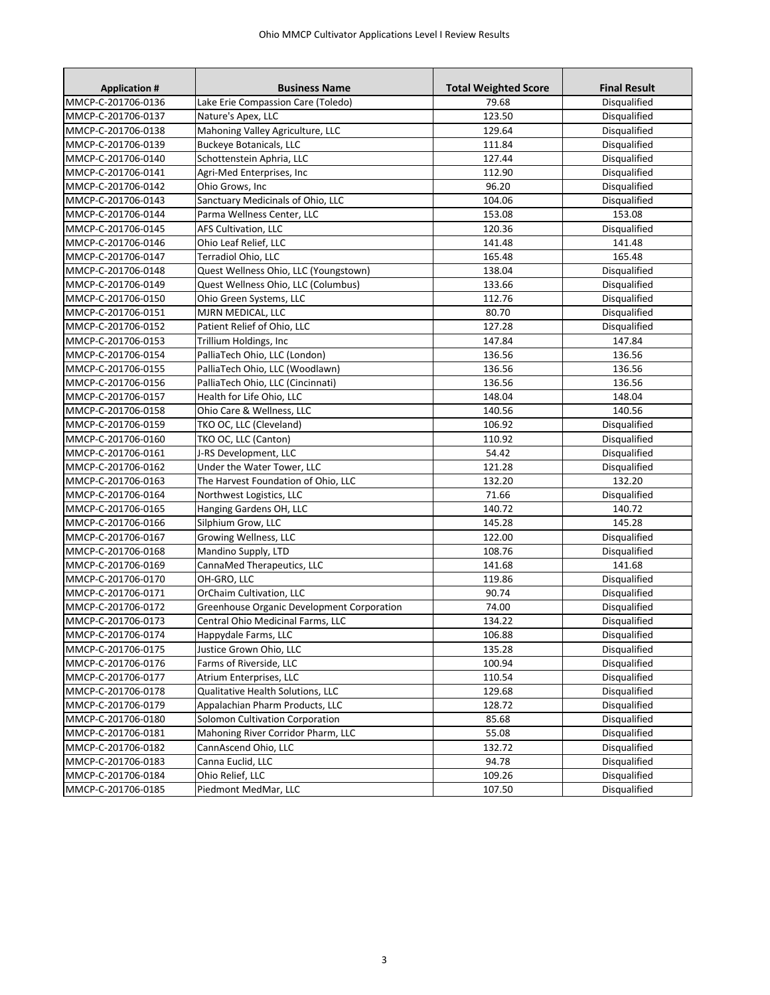| <b>Application #</b> | <b>Business Name</b>                       | <b>Total Weighted Score</b> | <b>Final Result</b> |
|----------------------|--------------------------------------------|-----------------------------|---------------------|
| MMCP-C-201706-0136   | Lake Erie Compassion Care (Toledo)         | 79.68                       | Disqualified        |
| MMCP-C-201706-0137   | Nature's Apex, LLC                         | 123.50                      | Disqualified        |
| MMCP-C-201706-0138   | Mahoning Valley Agriculture, LLC           | 129.64                      | Disqualified        |
| MMCP-C-201706-0139   | <b>Buckeye Botanicals, LLC</b>             | 111.84                      | Disqualified        |
| MMCP-C-201706-0140   | Schottenstein Aphria, LLC                  | 127.44                      | Disqualified        |
| MMCP-C-201706-0141   | Agri-Med Enterprises, Inc                  | 112.90                      | Disqualified        |
| MMCP-C-201706-0142   | Ohio Grows, Inc                            | 96.20                       | Disqualified        |
| MMCP-C-201706-0143   | Sanctuary Medicinals of Ohio, LLC          | 104.06                      | Disqualified        |
| MMCP-C-201706-0144   | Parma Wellness Center, LLC                 | 153.08                      | 153.08              |
| MMCP-C-201706-0145   | AFS Cultivation, LLC                       | 120.36                      | Disqualified        |
| MMCP-C-201706-0146   | Ohio Leaf Relief, LLC                      | 141.48                      | 141.48              |
| MMCP-C-201706-0147   | Terradiol Ohio, LLC                        | 165.48                      | 165.48              |
| MMCP-C-201706-0148   | Quest Wellness Ohio, LLC (Youngstown)      | 138.04                      | Disqualified        |
| MMCP-C-201706-0149   | Quest Wellness Ohio, LLC (Columbus)        | 133.66                      | Disqualified        |
| MMCP-C-201706-0150   | Ohio Green Systems, LLC                    | 112.76                      | Disqualified        |
| MMCP-C-201706-0151   | MJRN MEDICAL, LLC                          | 80.70                       | Disqualified        |
| MMCP-C-201706-0152   | Patient Relief of Ohio, LLC                | 127.28                      | Disqualified        |
| MMCP-C-201706-0153   | Trillium Holdings, Inc                     | 147.84                      | 147.84              |
| MMCP-C-201706-0154   | PalliaTech Ohio, LLC (London)              | 136.56                      | 136.56              |
| MMCP-C-201706-0155   | PalliaTech Ohio, LLC (Woodlawn)            | 136.56                      | 136.56              |
| MMCP-C-201706-0156   | PalliaTech Ohio, LLC (Cincinnati)          | 136.56                      | 136.56              |
| MMCP-C-201706-0157   | Health for Life Ohio, LLC                  | 148.04                      | 148.04              |
| MMCP-C-201706-0158   | Ohio Care & Wellness. LLC                  | 140.56                      | 140.56              |
| MMCP-C-201706-0159   | TKO OC, LLC (Cleveland)                    | 106.92                      | Disqualified        |
| MMCP-C-201706-0160   | TKO OC, LLC (Canton)                       | 110.92                      | Disqualified        |
| MMCP-C-201706-0161   | J-RS Development, LLC                      | 54.42                       | Disqualified        |
| MMCP-C-201706-0162   | Under the Water Tower, LLC                 | 121.28                      | Disqualified        |
| MMCP-C-201706-0163   | The Harvest Foundation of Ohio, LLC        | 132.20                      | 132.20              |
| MMCP-C-201706-0164   | Northwest Logistics, LLC                   | 71.66                       | Disqualified        |
| MMCP-C-201706-0165   | Hanging Gardens OH, LLC                    | 140.72                      | 140.72              |
| MMCP-C-201706-0166   | Silphium Grow, LLC                         | 145.28                      | 145.28              |
| MMCP-C-201706-0167   | Growing Wellness, LLC                      | 122.00                      | Disqualified        |
| MMCP-C-201706-0168   | Mandino Supply, LTD                        | 108.76                      | Disqualified        |
| MMCP-C-201706-0169   | CannaMed Therapeutics, LLC                 | 141.68                      | 141.68              |
| MMCP-C-201706-0170   | OH-GRO, LLC                                | 119.86                      | Disqualified        |
| MMCP-C-201706-0171   | OrChaim Cultivation, LLC                   | 90.74                       | Disqualified        |
| MMCP-C-201706-0172   | Greenhouse Organic Development Corporation | 74.00                       | Disqualified        |
| MMCP-C-201706-0173   | Central Ohio Medicinal Farms, LLC          | 134.22                      | Disqualified        |
| MMCP-C-201706-0174   | Happydale Farms, LLC                       | 106.88                      | Disqualified        |
| MMCP-C-201706-0175   | Justice Grown Ohio, LLC                    | 135.28                      | Disqualified        |
| MMCP-C-201706-0176   | Farms of Riverside, LLC                    | 100.94                      | Disqualified        |
| MMCP-C-201706-0177   | Atrium Enterprises, LLC                    | 110.54                      | Disqualified        |
| MMCP-C-201706-0178   | Qualitative Health Solutions, LLC          | 129.68                      | Disqualified        |
| MMCP-C-201706-0179   | Appalachian Pharm Products, LLC            | 128.72                      | Disqualified        |
| MMCP-C-201706-0180   | Solomon Cultivation Corporation            | 85.68                       | Disqualified        |
| MMCP-C-201706-0181   | Mahoning River Corridor Pharm, LLC         | 55.08                       | Disqualified        |
| MMCP-C-201706-0182   | CannAscend Ohio, LLC                       | 132.72                      | Disqualified        |
| MMCP-C-201706-0183   | Canna Euclid, LLC                          | 94.78                       | Disqualified        |
| MMCP-C-201706-0184   | Ohio Relief, LLC                           | 109.26                      | Disqualified        |
| MMCP-C-201706-0185   | Piedmont MedMar, LLC                       | 107.50                      | Disqualified        |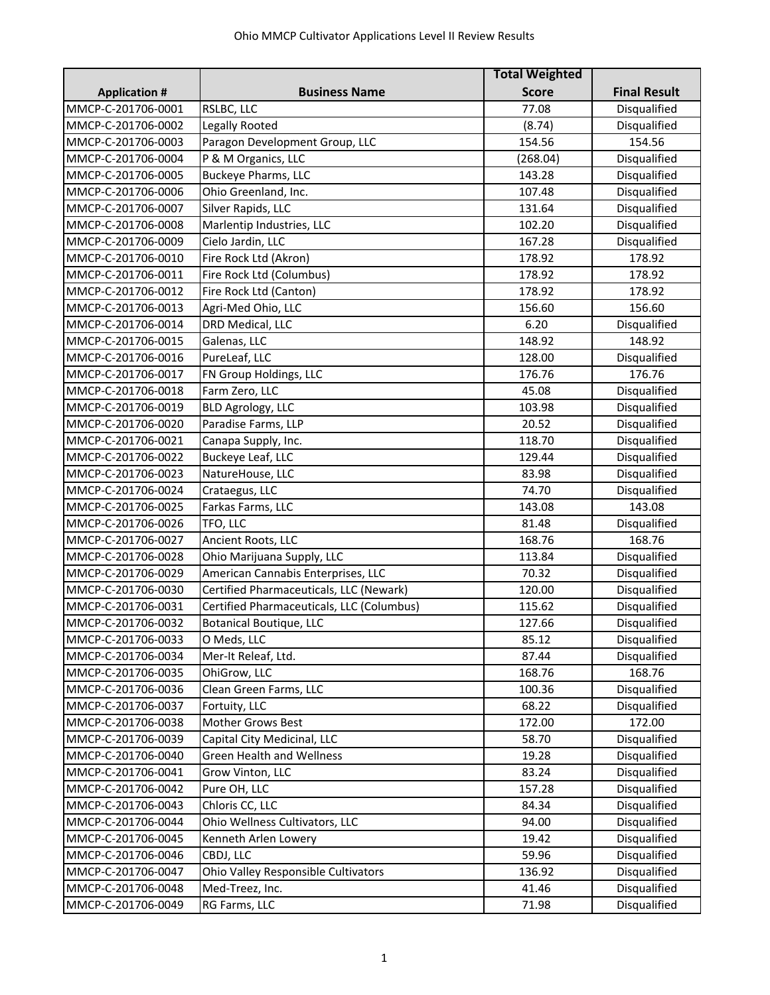|                      |                                           | <b>Total Weighted</b> |                     |
|----------------------|-------------------------------------------|-----------------------|---------------------|
| <b>Application #</b> | <b>Business Name</b>                      | <b>Score</b>          | <b>Final Result</b> |
| MMCP-C-201706-0001   | RSLBC, LLC                                | 77.08                 | Disqualified        |
| MMCP-C-201706-0002   | Legally Rooted                            | (8.74)                | Disqualified        |
| MMCP-C-201706-0003   | Paragon Development Group, LLC            | 154.56                | 154.56              |
| MMCP-C-201706-0004   | P & M Organics, LLC                       | (268.04)              | Disqualified        |
| MMCP-C-201706-0005   | <b>Buckeye Pharms, LLC</b>                | 143.28                | Disqualified        |
| MMCP-C-201706-0006   | Ohio Greenland, Inc.                      | 107.48                | Disqualified        |
| MMCP-C-201706-0007   | Silver Rapids, LLC                        | 131.64                | Disqualified        |
| MMCP-C-201706-0008   | Marlentip Industries, LLC                 | 102.20                | Disqualified        |
| MMCP-C-201706-0009   | Cielo Jardin, LLC                         | 167.28                | Disqualified        |
| MMCP-C-201706-0010   | Fire Rock Ltd (Akron)                     | 178.92                | 178.92              |
| MMCP-C-201706-0011   | Fire Rock Ltd (Columbus)                  | 178.92                | 178.92              |
| MMCP-C-201706-0012   | Fire Rock Ltd (Canton)                    | 178.92                | 178.92              |
| MMCP-C-201706-0013   | Agri-Med Ohio, LLC                        | 156.60                | 156.60              |
| MMCP-C-201706-0014   | DRD Medical, LLC                          | 6.20                  | Disqualified        |
| MMCP-C-201706-0015   | Galenas, LLC                              | 148.92                | 148.92              |
| MMCP-C-201706-0016   | PureLeaf, LLC                             | 128.00                | Disqualified        |
| MMCP-C-201706-0017   | FN Group Holdings, LLC                    | 176.76                | 176.76              |
| MMCP-C-201706-0018   | Farm Zero, LLC                            | 45.08                 | Disqualified        |
| MMCP-C-201706-0019   | <b>BLD Agrology, LLC</b>                  | 103.98                | Disqualified        |
| MMCP-C-201706-0020   | Paradise Farms, LLP                       | 20.52                 | Disqualified        |
| MMCP-C-201706-0021   | Canapa Supply, Inc.                       | 118.70                | Disqualified        |
| MMCP-C-201706-0022   | Buckeye Leaf, LLC                         | 129.44                | Disqualified        |
| MMCP-C-201706-0023   | NatureHouse, LLC                          | 83.98                 | Disqualified        |
| MMCP-C-201706-0024   | Crataegus, LLC                            | 74.70                 | Disqualified        |
| MMCP-C-201706-0025   | Farkas Farms, LLC                         | 143.08                | 143.08              |
| MMCP-C-201706-0026   | TFO, LLC                                  | 81.48                 | Disqualified        |
| MMCP-C-201706-0027   | Ancient Roots, LLC                        | 168.76                | 168.76              |
| MMCP-C-201706-0028   | Ohio Marijuana Supply, LLC                | 113.84                | Disqualified        |
| MMCP-C-201706-0029   | American Cannabis Enterprises, LLC        | 70.32                 | Disqualified        |
| MMCP-C-201706-0030   | Certified Pharmaceuticals, LLC (Newark)   | 120.00                | Disqualified        |
| MMCP-C-201706-0031   | Certified Pharmaceuticals, LLC (Columbus) | 115.62                | Disqualified        |
| MMCP-C-201706-0032   | <b>Botanical Boutique, LLC</b>            | 127.66                | Disqualified        |
| MMCP-C-201706-0033   | O Meds, LLC                               | 85.12                 | Disqualified        |
| MMCP-C-201706-0034   | Mer-It Releaf, Ltd.                       | 87.44                 | Disqualified        |
| MMCP-C-201706-0035   | OhiGrow, LLC                              | 168.76                | 168.76              |
| MMCP-C-201706-0036   | Clean Green Farms, LLC                    | 100.36                | Disqualified        |
| MMCP-C-201706-0037   | Fortuity, LLC                             | 68.22                 | Disqualified        |
| MMCP-C-201706-0038   | <b>Mother Grows Best</b>                  | 172.00                | 172.00              |
| MMCP-C-201706-0039   | Capital City Medicinal, LLC               | 58.70                 | Disqualified        |
| MMCP-C-201706-0040   | <b>Green Health and Wellness</b>          | 19.28                 | Disqualified        |
| MMCP-C-201706-0041   | Grow Vinton, LLC                          | 83.24                 | Disqualified        |
| MMCP-C-201706-0042   | Pure OH, LLC                              | 157.28                | Disqualified        |
| MMCP-C-201706-0043   | Chloris CC, LLC                           | 84.34                 | Disqualified        |
| MMCP-C-201706-0044   | Ohio Wellness Cultivators, LLC            | 94.00                 | Disqualified        |
| MMCP-C-201706-0045   | Kenneth Arlen Lowery                      | 19.42                 | Disqualified        |
| MMCP-C-201706-0046   | CBDJ, LLC                                 | 59.96                 | Disqualified        |
| MMCP-C-201706-0047   | Ohio Valley Responsible Cultivators       | 136.92                | Disqualified        |
| MMCP-C-201706-0048   | Med-Treez, Inc.                           | 41.46                 | Disqualified        |
| MMCP-C-201706-0049   | RG Farms, LLC                             | 71.98                 | Disqualified        |